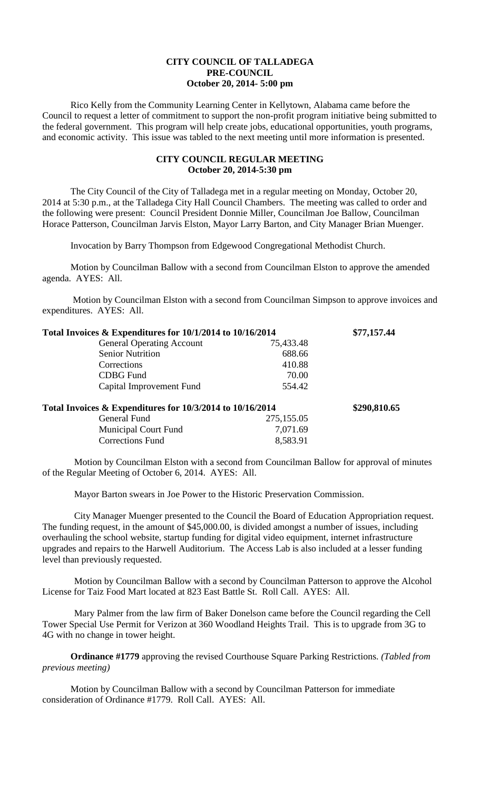## **CITY COUNCIL OF TALLADEGA PRE-COUNCIL October 20, 2014- 5:00 pm**

Rico Kelly from the Community Learning Center in Kellytown, Alabama came before the Council to request a letter of commitment to support the non-profit program initiative being submitted to the federal government. This program will help create jobs, educational opportunities, youth programs, and economic activity. This issue was tabled to the next meeting until more information is presented.

## **CITY COUNCIL REGULAR MEETING October 20, 2014-5:30 pm**

The City Council of the City of Talladega met in a regular meeting on Monday, October 20, 2014 at 5:30 p.m., at the Talladega City Hall Council Chambers. The meeting was called to order and the following were present: Council President Donnie Miller, Councilman Joe Ballow, Councilman Horace Patterson, Councilman Jarvis Elston, Mayor Larry Barton, and City Manager Brian Muenger.

Invocation by Barry Thompson from Edgewood Congregational Methodist Church.

Motion by Councilman Ballow with a second from Councilman Elston to approve the amended agenda. AYES: All.

Motion by Councilman Elston with a second from Councilman Simpson to approve invoices and expenditures. AYES: All.

| Total Invoices & Expenditures for 10/1/2014 to 10/16/2014 |              | \$77,157.44 |
|-----------------------------------------------------------|--------------|-------------|
| <b>General Operating Account</b>                          | 75,433.48    |             |
| <b>Senior Nutrition</b>                                   | 688.66       |             |
| Corrections                                               | 410.88       |             |
| <b>CDBG</b> Fund                                          | 70.00        |             |
| Capital Improvement Fund                                  | 554.42       |             |
| Total Invoices & Expenditures for 10/3/2014 to 10/16/2014 | \$290,810.65 |             |
| General Fund                                              | 275,155.05   |             |
| <b>Municipal Court Fund</b>                               | 7,071.69     |             |
| <b>Corrections Fund</b>                                   | 8,583.91     |             |

Motion by Councilman Elston with a second from Councilman Ballow for approval of minutes of the Regular Meeting of October 6, 2014. AYES: All.

Mayor Barton swears in Joe Power to the Historic Preservation Commission.

City Manager Muenger presented to the Council the Board of Education Appropriation request. The funding request, in the amount of \$45,000.00, is divided amongst a number of issues, including overhauling the school website, startup funding for digital video equipment, internet infrastructure upgrades and repairs to the Harwell Auditorium. The Access Lab is also included at a lesser funding level than previously requested.

Motion by Councilman Ballow with a second by Councilman Patterson to approve the Alcohol License for Taiz Food Mart located at 823 East Battle St. Roll Call. AYES: All.

Mary Palmer from the law firm of Baker Donelson came before the Council regarding the Cell Tower Special Use Permit for Verizon at 360 Woodland Heights Trail. This is to upgrade from 3G to 4G with no change in tower height.

**Ordinance #1779** approving the revised Courthouse Square Parking Restrictions. *(Tabled from previous meeting)*

Motion by Councilman Ballow with a second by Councilman Patterson for immediate consideration of Ordinance #1779. Roll Call. AYES: All.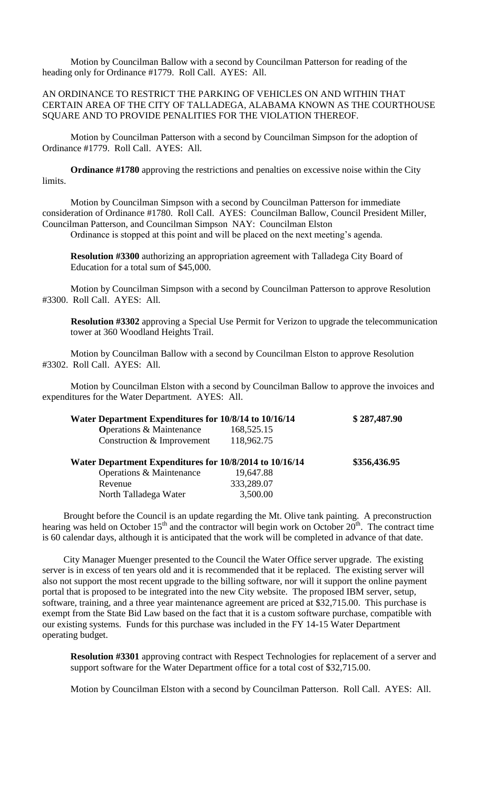Motion by Councilman Ballow with a second by Councilman Patterson for reading of the heading only for Ordinance #1779. Roll Call. AYES: All.

## AN ORDINANCE TO RESTRICT THE PARKING OF VEHICLES ON AND WITHIN THAT CERTAIN AREA OF THE CITY OF TALLADEGA, ALABAMA KNOWN AS THE COURTHOUSE SQUARE AND TO PROVIDE PENALITIES FOR THE VIOLATION THEREOF.

Motion by Councilman Patterson with a second by Councilman Simpson for the adoption of Ordinance #1779. Roll Call. AYES: All.

**Ordinance #1780** approving the restrictions and penalties on excessive noise within the City limits.

Motion by Councilman Simpson with a second by Councilman Patterson for immediate consideration of Ordinance #1780. Roll Call. AYES: Councilman Ballow, Council President Miller, Councilman Patterson, and Councilman Simpson NAY: Councilman Elston

Ordinance is stopped at this point and will be placed on the next meeting's agenda.

**Resolution #3300** authorizing an appropriation agreement with Talladega City Board of Education for a total sum of \$45,000.

Motion by Councilman Simpson with a second by Councilman Patterson to approve Resolution #3300. Roll Call. AYES: All.

**Resolution #3302** approving a Special Use Permit for Verizon to upgrade the telecommunication tower at 360 Woodland Heights Trail.

Motion by Councilman Ballow with a second by Councilman Elston to approve Resolution #3302. Roll Call. AYES: All.

Motion by Councilman Elston with a second by Councilman Ballow to approve the invoices and expenditures for the Water Department. AYES: All.

| Water Department Expenditures for 10/8/14 to 10/16/14   |            | \$287,487.90 |
|---------------------------------------------------------|------------|--------------|
| <b>Operations &amp; Maintenance</b>                     | 168,525.15 |              |
| Construction & Improvement                              | 118,962.75 |              |
|                                                         |            |              |
| Water Department Expenditures for 10/8/2014 to 10/16/14 |            | \$356,436.95 |
| Operations & Maintenance                                | 19,647.88  |              |
| Revenue                                                 | 333,289.07 |              |

Brought before the Council is an update regarding the Mt. Olive tank painting. A preconstruction hearing was held on October 15<sup>th</sup> and the contractor will begin work on October 20<sup>th</sup>. The contract time is 60 calendar days, although it is anticipated that the work will be completed in advance of that date.

City Manager Muenger presented to the Council the Water Office server upgrade. The existing server is in excess of ten years old and it is recommended that it be replaced. The existing server will also not support the most recent upgrade to the billing software, nor will it support the online payment portal that is proposed to be integrated into the new City website. The proposed IBM server, setup, software, training, and a three year maintenance agreement are priced at \$32,715.00. This purchase is exempt from the State Bid Law based on the fact that it is a custom software purchase, compatible with our existing systems. Funds for this purchase was included in the FY 14-15 Water Department operating budget.

**Resolution #3301** approving contract with Respect Technologies for replacement of a server and support software for the Water Department office for a total cost of \$32,715.00.

Motion by Councilman Elston with a second by Councilman Patterson. Roll Call. AYES: All.